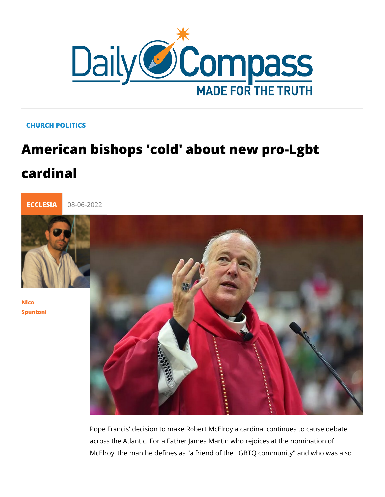## CHURCH POLITICS

## American bishops 'cold' about new procardinal



## [Nico](/en/nico-spuntoni-1) [Spunto](/en/nico-spuntoni-1)ni

Pope Francis' decision to make Robert McElroy a cardinal cont across the Atlantic. For a Father James Martin who rejoices at McElroy, the man he defines as "a friend of the LGBTQ commu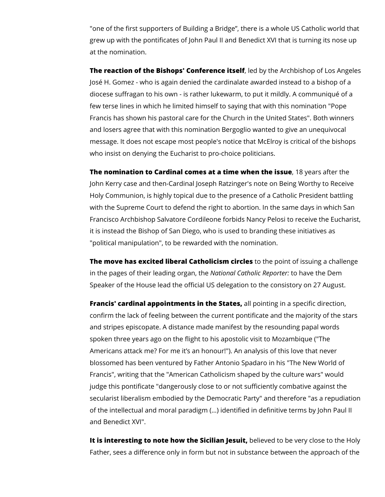"one of the first supporters of Building a Bridge", there is a whole US Catholic world that grew up with the pontificates of John Paul II and Benedict XVI that is turning its nose up at the nomination.

**The reaction of the Bishops' Conference itself**, led by the Archbishop of Los Angeles José H. Gomez - who is again denied the cardinalate awarded instead to a bishop of a diocese suffragan to his own - is rather lukewarm, to put it mildly. A communiqué of a few terse lines in which he limited himself to saying that with this nomination "Pope Francis has shown his pastoral care for the Church in the United States". Both winners and losers agree that with this nomination Bergoglio wanted to give an unequivocal message. It does not escape most people's notice that McElroy is critical of the bishops who insist on denying the Eucharist to pro-choice politicians.

**The nomination to Cardinal comes at a time when the issue**, 18 years after the John Kerry case and then-Cardinal Joseph Ratzinger's note on Being Worthy to Receive Holy Communion, is highly topical due to the presence of a Catholic President battling with the Supreme Court to defend the right to abortion. In the same days in which San Francisco Archbishop Salvatore Cordileone forbids Nancy Pelosi to receive the Eucharist, it is instead the Bishop of San Diego, who is used to branding these initiatives as "political manipulation", to be rewarded with the nomination.

**The move has excited liberal Catholicism circles** to the point of issuing a challenge in the pages of their leading organ, the *National Catholic Reporter:* to have the Dem Speaker of the House lead the official US delegation to the consistory on 27 August.

**Francis' cardinal appointments in the States,** all pointing in a specific direction, confirm the lack of feeling between the current pontificate and the majority of the stars and stripes episcopate. A distance made manifest by the resounding papal words spoken three years ago on the flight to his apostolic visit to Mozambique ("The Americans attack me? For me it's an honour!"). An analysis of this love that never blossomed has been ventured by Father Antonio Spadaro in his "The New World of Francis", writing that the "American Catholicism shaped by the culture wars" would judge this pontificate "dangerously close to or not sufficiently combative against the secularist liberalism embodied by the Democratic Party" and therefore "as a repudiation of the intellectual and moral paradigm (...) identified in definitive terms by John Paul II and Benedict XVI".

It is interesting to note how the Sicilian Jesuit, believed to be very close to the Holy Father, sees a difference only in form but not in substance between the approach of the